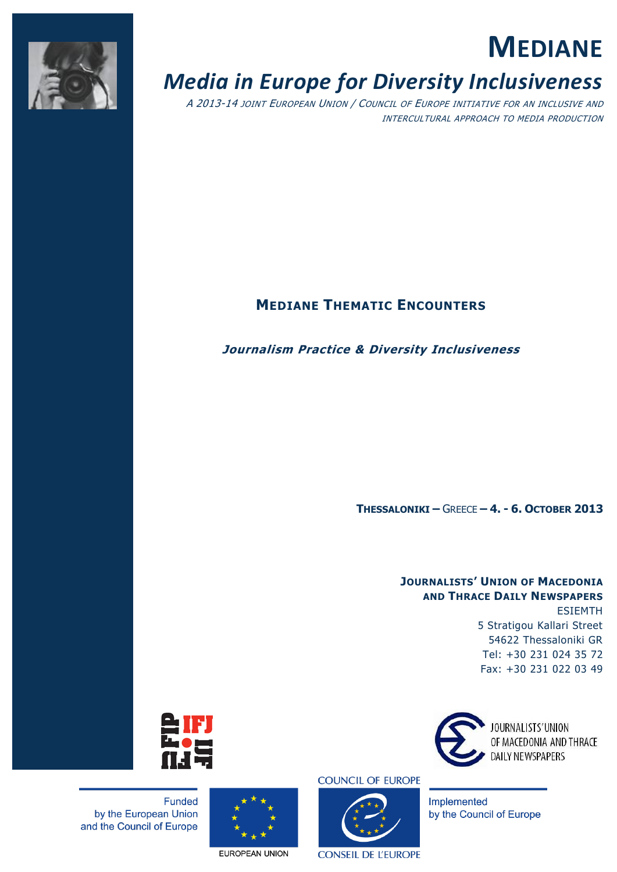

# **MEDIANE**

# *Media in Europe for Diversity Inclusiveness*

A 2013-14 JOINT EUROPEAN UNION / COUNCIL OF EUROPE INITIATIVE FOR AN INCLUSIVE AND INTERCULTURAL APPROACH TO MEDIA PRODUCTION

## **MEDIANE THEMATIC ENCOUNTERS**

### **Journalism Practice & Diversity Inclusiveness**

**THESSALONIKI –** GREECE **– 4. - 6. OCTOBER 2013**

### **JOURNALISTS' UNION OF MACEDONIA AND THRACE DAILY NEWSPAPERS**  ESIEMTH 5 Stratigou Kallari Street 54622 Thessaloniki GR Tel: +30 231 024 35 72 Fax: +30 231 022 03 49



OF MACEDONIA AND THRACE

Implemented by the Council of Europe



Funded by the European Union and the Council of Europe

EUROPEAN UNION

**COUNCIL OF EUROPE** 



**CONSEIL DE L'EUROPE**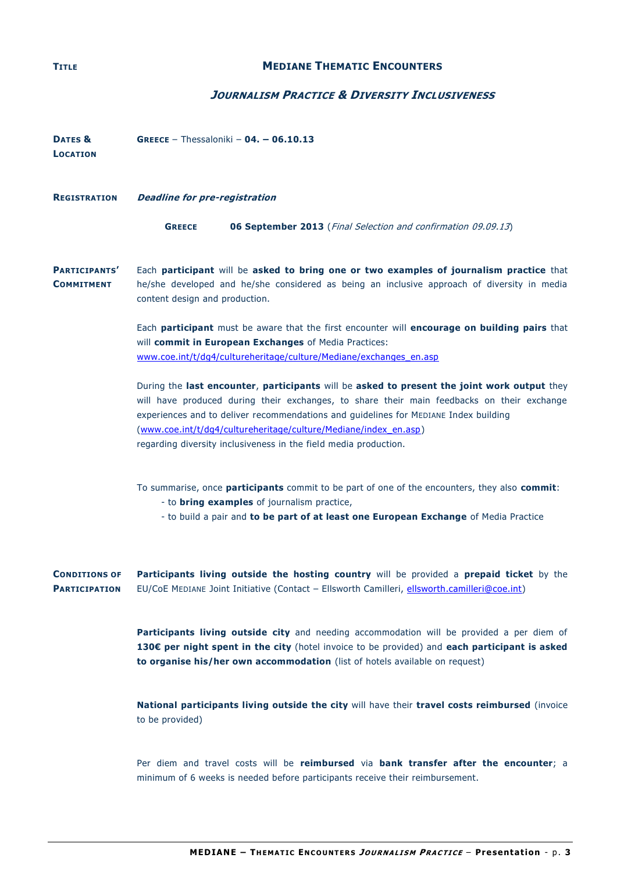#### **TITLE MEDIANE THEMATIC ENCOUNTERS**

#### **JOURNALISM PRACTICE & DIVERSITY INCLUSIVENESS**

| DATES &<br><b>LOCATION</b>                   | <b>GREECE</b> - Thessaloniki - $04. -06.10.13$                                                                                                                                                                                                                                                                                                                                                                            |  |  |  |
|----------------------------------------------|---------------------------------------------------------------------------------------------------------------------------------------------------------------------------------------------------------------------------------------------------------------------------------------------------------------------------------------------------------------------------------------------------------------------------|--|--|--|
| <b>REGISTRATION</b>                          | <b>Deadline for pre-registration</b>                                                                                                                                                                                                                                                                                                                                                                                      |  |  |  |
|                                              | <b>06 September 2013</b> (Final Selection and confirmation 09.09.13)<br><b>GREECE</b>                                                                                                                                                                                                                                                                                                                                     |  |  |  |
| PARTICIPANTS'<br><b>COMMITMENT</b>           | Each participant will be asked to bring one or two examples of journalism practice that<br>he/she developed and he/she considered as being an inclusive approach of diversity in media<br>content design and production.                                                                                                                                                                                                  |  |  |  |
|                                              | Each participant must be aware that the first encounter will encourage on building pairs that<br>will commit in European Exchanges of Media Practices:<br>www.coe.int/t/dq4/cultureheritage/culture/Mediane/exchanges_en.asp                                                                                                                                                                                              |  |  |  |
|                                              | During the last encounter, participants will be asked to present the joint work output they<br>will have produced during their exchanges, to share their main feedbacks on their exchange<br>experiences and to deliver recommendations and guidelines for MEDIANE Index building<br>(www.coe.int/t/dg4/cultureheritage/culture/Mediane/index_en.asp)<br>regarding diversity inclusiveness in the field media production. |  |  |  |
|                                              | To summarise, once participants commit to be part of one of the encounters, they also commit:<br>- to <b>bring examples</b> of journalism practice,<br>- to build a pair and to be part of at least one European Exchange of Media Practice                                                                                                                                                                               |  |  |  |
| <b>CONDITIONS OF</b><br><b>PARTICIPATION</b> | Participants living outside the hosting country will be provided a prepaid ticket by the<br>EU/CoE MEDIANE Joint Initiative (Contact - Ellsworth Camilleri, ellsworth.camilleri@coe.int)                                                                                                                                                                                                                                  |  |  |  |
|                                              | Participants living outside city and needing accommodation will be provided a per diem of<br>130€ per night spent in the city (hotel invoice to be provided) and each participant is asked<br>to organise his/her own accommodation (list of hotels available on request)                                                                                                                                                 |  |  |  |
|                                              | National participants living outside the city will have their travel costs reimbursed (invoice<br>to be provided)                                                                                                                                                                                                                                                                                                         |  |  |  |

Per diem and travel costs will be **reimbursed** via **bank transfer after the encounter**; a minimum of 6 weeks is needed before participants receive their reimbursement.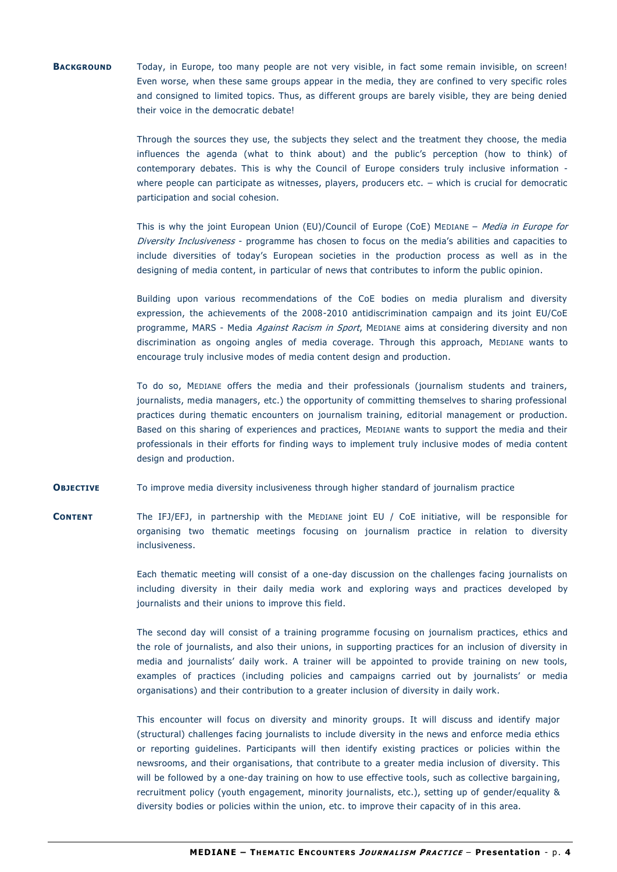#### **BACKGROUND** Today, in Europe, too many people are not very visible, in fact some remain invisible, on screen! Even worse, when these same groups appear in the media, they are confined to very specific roles and consigned to limited topics. Thus, as different groups are barely visible, they are being denied their voice in the democratic debate!

Through the sources they use, the subjects they select and the treatment they choose, the media influences the agenda (what to think about) and the public's perception (how to think) of contemporary debates. This is why the Council of Europe considers truly inclusive information where people can participate as witnesses, players, producers etc. – which is crucial for democratic participation and social cohesion.

This is why the joint European Union (EU)/Council of Europe (CoE) MEDIANE - Media in Europe for Diversity Inclusiveness - programme has chosen to focus on the media's abilities and capacities to include diversities of today's European societies in the production process as well as in the designing of media content, in particular of news that contributes to inform the public opinion.

Building upon various recommendations of the CoE bodies on media pluralism and diversity expression, the achievements of the 2008-2010 antidiscrimination campaign and its joint EU/CoE programme, MARS - Media Against Racism in Sport, MEDIANE aims at considering diversity and non discrimination as ongoing angles of media coverage. Through this approach, MEDIANE wants to encourage truly inclusive modes of media content design and production.

To do so, MEDIANE offers the media and their professionals (journalism students and trainers, journalists, media managers, etc.) the opportunity of committing themselves to sharing professional practices during thematic encounters on journalism training, editorial management or production. Based on this sharing of experiences and practices, MEDIANE wants to support the media and their professionals in their efforts for finding ways to implement truly inclusive modes of media content design and production.

**OBJECTIVE** To improve media diversity inclusiveness through higher standard of journalism practice

**CONTENT** The IFJ/EFJ, in partnership with the MEDIANE joint EU / CoE initiative, will be responsible for organising two thematic meetings focusing on journalism practice in relation to diversity inclusiveness.

> Each thematic meeting will consist of a one-day discussion on the challenges facing journalists on including diversity in their daily media work and exploring ways and practices developed by journalists and their unions to improve this field.

> The second day will consist of a training programme focusing on journalism practices, ethics and the role of journalists, and also their unions, in supporting practices for an inclusion of diversity in media and journalists' daily work. A trainer will be appointed to provide training on new tools, examples of practices (including policies and campaigns carried out by journalists' or media organisations) and their contribution to a greater inclusion of diversity in daily work.

This encounter will focus on diversity and minority groups. It will discuss and identify major (structural) challenges facing journalists to include diversity in the news and enforce media ethics or reporting guidelines. Participants will then identify existing practices or policies within the newsrooms, and their organisations, that contribute to a greater media inclusion of diversity. This will be followed by a one-day training on how to use effective tools, such as collective bargaining, recruitment policy (youth engagement, minority journalists, etc.), setting up of gender/equality & diversity bodies or policies within the union, etc. to improve their capacity of in this area.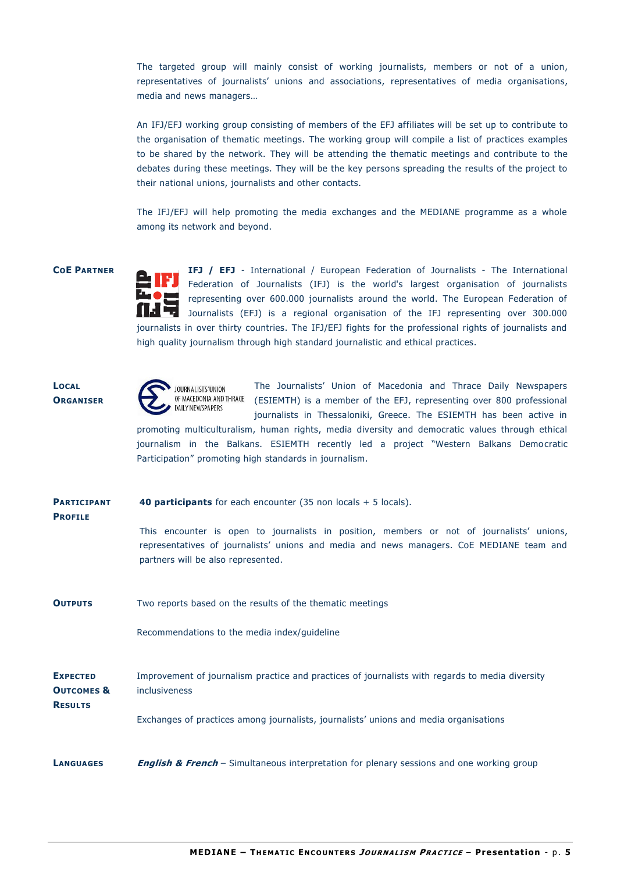The targeted group will mainly consist of working journalists, members or not of a union, representatives of journalists' unions and associations, representatives of media organisations, media and news managers…

An IFJ/EFJ working group consisting of members of the EFJ affiliates will be set up to contrib ute to the organisation of thematic meetings. The working group will compile a list of practices examples to be shared by the network. They will be attending the thematic meetings and contribute to the debates during these meetings. They will be the key persons spreading the results of the project to their national unions, journalists and other contacts.

The IFJ/EFJ will help promoting the media exchanges and the MEDIANE programme as a whole among its network and beyond.

**COE PARTNER IFJ / EFJ** - International / European Federation of Journalists - The International Federation of Journalists (IFJ) is the world's largest organisation of journalists representing over 600.000 journalists around the world. The European Federation of Journalists (EFJ) is a regional organisation of the IFJ representing over 300.000 journalists in over thirty countries. The IFJ/EFJ fights for the professional rights of journalists and high quality journalism through high standard journalistic and ethical practices.

#### **LOCAL ORGANISER**



The Journalists' Union of Macedonia and Thrace Daily Newspapers OF MACEDONIA AND THRACE (ESIEMTH) is a member of the EFJ, representing over 800 professional journalists in Thessaloniki, Greece. The ESIEMTH has been active in

promoting multiculturalism, human rights, media diversity and democratic values through ethical journalism in the Balkans. ESIEMTH recently led a project "Western Balkans Democratic Participation" promoting high standards in journalism.

| <b>PARTICIPANT</b><br><b>PROFILE</b>                       | <b>40 participants</b> for each encounter (35 non locals $+$ 5 locals).<br>This encounter is open to journalists in position, members or not of journalists' unions,<br>representatives of journalists' unions and media and news managers. CoE MEDIANE team and<br>partners will be also represented. |  |  |  |
|------------------------------------------------------------|--------------------------------------------------------------------------------------------------------------------------------------------------------------------------------------------------------------------------------------------------------------------------------------------------------|--|--|--|
|                                                            |                                                                                                                                                                                                                                                                                                        |  |  |  |
| <b>OUTPUTS</b>                                             | Two reports based on the results of the thematic meetings                                                                                                                                                                                                                                              |  |  |  |
|                                                            | Recommendations to the media index/guideline                                                                                                                                                                                                                                                           |  |  |  |
| <b>EXPECTED</b><br><b>OUTCOMES &amp;</b><br><b>RESULTS</b> | Improvement of journalism practice and practices of journalists with regards to media diversity<br><i>inclusiveness</i>                                                                                                                                                                                |  |  |  |
|                                                            | Exchanges of practices among journalists, journalists' unions and media organisations                                                                                                                                                                                                                  |  |  |  |
| LANGUAGES                                                  | <b>English &amp; French</b> – Simultaneous interpretation for plenary sessions and one working group                                                                                                                                                                                                   |  |  |  |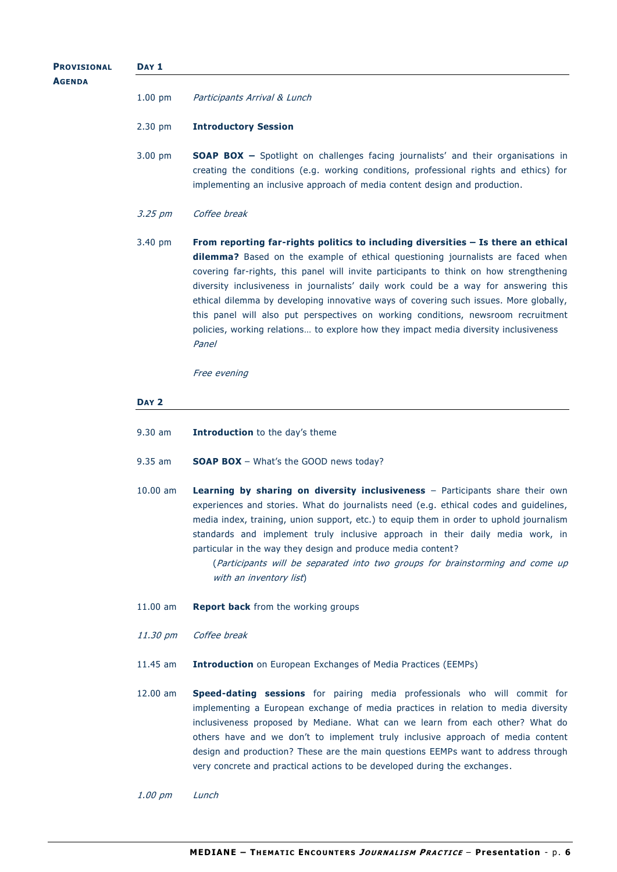## **AGENDA** 1.00 pm Participants Arrival & Lunch 2.30 pm **Introductory Session** 3.00 pm **SOAP BOX –** Spotlight on challenges facing journalists' and their organisations in creating the conditions (e.g. working conditions, professional rights and ethics) for implementing an inclusive approach of media content design and production. 3.25 pm Coffee break 3.40 pm **From reporting far-rights politics to including diversities – Is there an ethical dilemma?** Based on the example of ethical questioning journalists are faced when covering far-rights, this panel will invite participants to think on how strengthening diversity inclusiveness in journalists' daily work could be a way for answering this ethical dilemma by developing innovative ways of covering such issues. More globally, this panel will also put perspectives on working conditions, newsroom recruitment policies, working relations… to explore how they impact media diversity inclusiveness Panel Free evening **DAY 2** 9.30 am **Introduction** to the day's theme 9.35 am **SOAP BOX** – What's the GOOD news today? 10.00 am **Learning by sharing on diversity inclusiveness** – Participants share their own experiences and stories. What do journalists need (e.g. ethical codes and guidelines, media index, training, union support, etc.) to equip them in order to uphold journalism standards and implement truly inclusive approach in their daily media work, in particular in the way they design and produce media content? (Participants will be separated into two groups for brainstorming and come up with an inventory list) 11.00 am **Report back** from the working groups 11.30 pm Coffee break 11.45 am **Introduction** on European Exchanges of Media Practices (EEMPs) 12.00 am **Speed-dating sessions** for pairing media professionals who will commit for implementing a European exchange of media practices in relation to media diversity inclusiveness proposed by Mediane. What can we learn from each other? What do others have and we don't to implement truly inclusive approach of media content design and production? These are the main questions EEMPs want to address through very concrete and practical actions to be developed during the exchanges .

**PROVISIONAL**

**DAY 1**

1.00 pm Lunch

MEDIANE - THEMATIC ENCOUNTERS JOURNALISM PRACTICE - Presentation - p. 6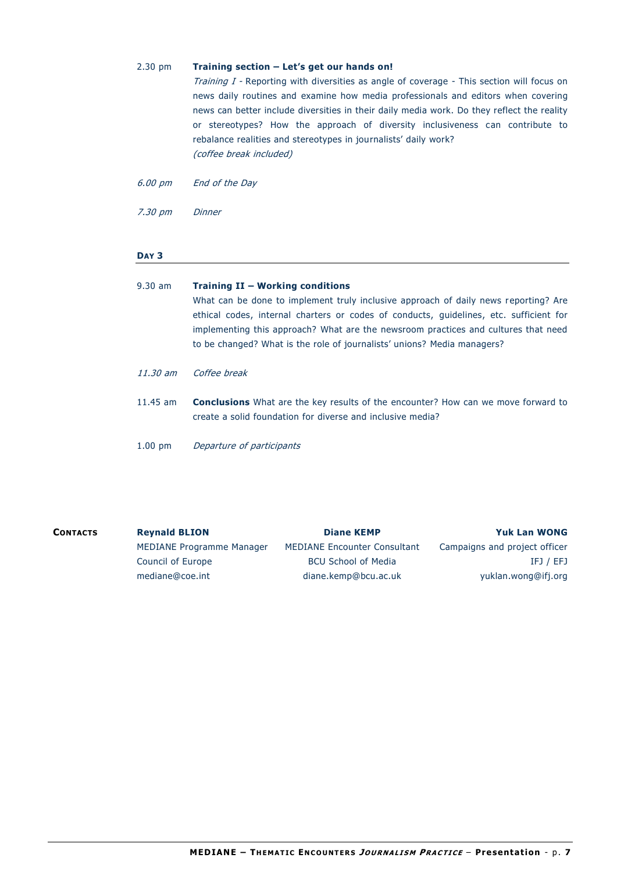#### 2.30 pm **Training section – Let's get our hands on!**

Training I - Reporting with diversities as angle of coverage - This section will focus on news daily routines and examine how media professionals and editors when covering news can better include diversities in their daily media work. Do they reflect the reality or stereotypes? How the approach of diversity inclusiveness can contribute to rebalance realities and stereotypes in journalists' daily work? (coffee break included)

6.00 pm End of the Day

7.30 pm Dinner

#### **DAY 3**

| $9.30$ am  | Training II - Working conditions<br>What can be done to implement truly inclusive approach of daily news reporting? Are<br>ethical codes, internal charters or codes of conducts, guidelines, etc. sufficient for<br>implementing this approach? What are the newsroom practices and cultures that need<br>to be changed? What is the role of journalists' unions? Media managers? |
|------------|------------------------------------------------------------------------------------------------------------------------------------------------------------------------------------------------------------------------------------------------------------------------------------------------------------------------------------------------------------------------------------|
| 11.30 am   | Coffee break                                                                                                                                                                                                                                                                                                                                                                       |
| $11.45$ am | <b>Conclusions</b> What are the key results of the encounter? How can we move forward to<br>create a solid foundation for diverse and inclusive media?                                                                                                                                                                                                                             |
| $1.00$ pm  | Departure of participants                                                                                                                                                                                                                                                                                                                                                          |

| <b>CONTACTS</b> | <b>Reynald BLION</b>      | <b>Diane KEMP</b>                   | <b>Yuk Lan WONG</b>           |
|-----------------|---------------------------|-------------------------------------|-------------------------------|
|                 | MEDIANE Programme Manager | <b>MEDIANE Encounter Consultant</b> | Campaigns and project officer |
|                 | Council of Europe         | <b>BCU School of Media</b>          | IFJ / EFJ                     |
|                 | mediane@coe.int           | diane.kemp@bcu.ac.uk                | yuklan.wong@ifj.org           |